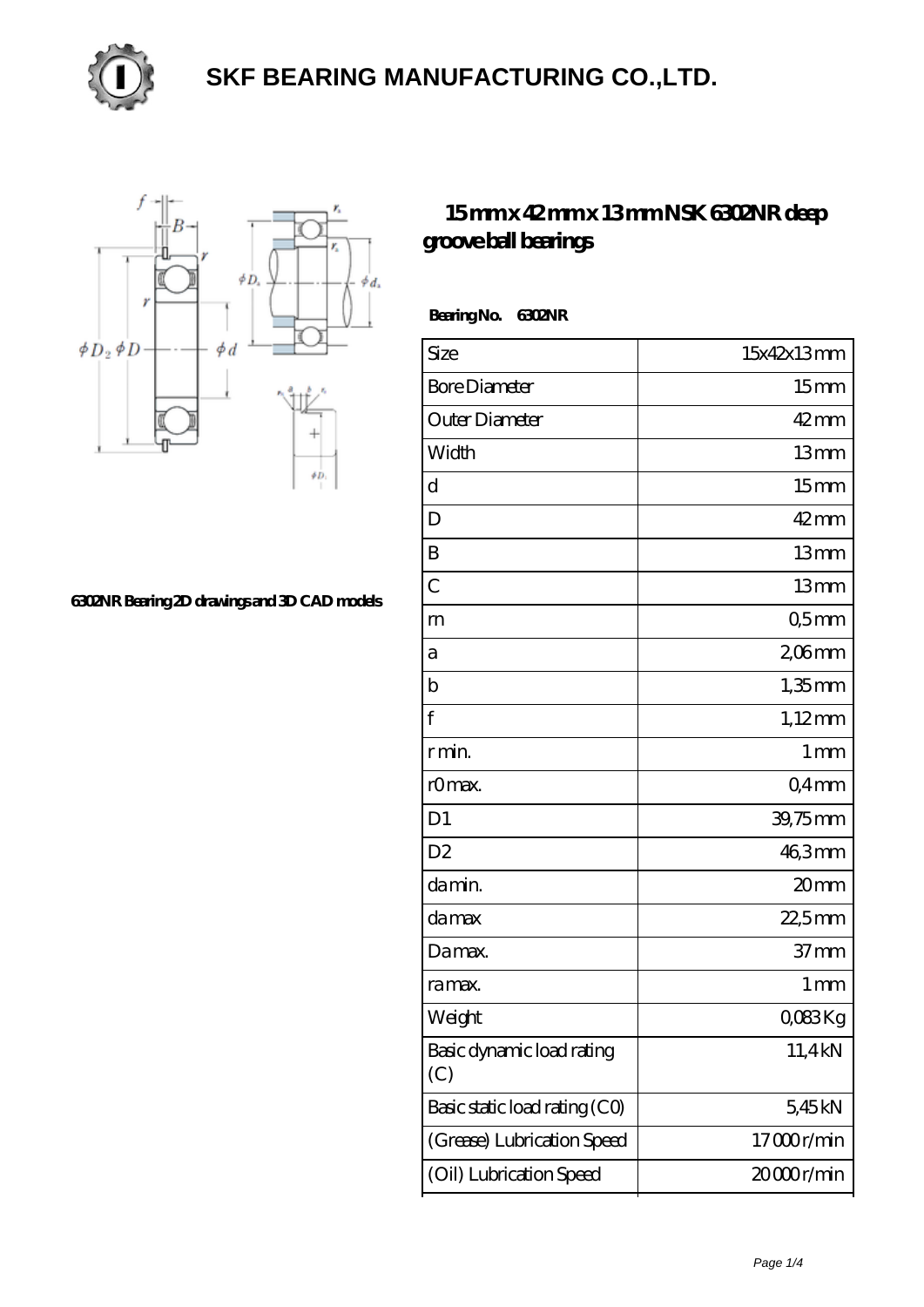

## **[SKF BEARING MANUFACTURING CO.,LTD.](https://mssoaandbpconference.com)**



**[6302NR Bearing 2D drawings and 3D CAD models](https://mssoaandbpconference.com/pic-1445.html)**

## **[15 mm x 42 mm x 13 mm NSK 6302NR deep](https://mssoaandbpconference.com/au-1445-nsk-6302nr-deep-groove-ball-bearings.html) [groove ball bearings](https://mssoaandbpconference.com/au-1445-nsk-6302nr-deep-groove-ball-bearings.html)**

 **Bearing No. 6302NR**

| Size                             | 15x42x13mm         |
|----------------------------------|--------------------|
| <b>Bore Diameter</b>             | 15 <sub>mm</sub>   |
| Outer Diameter                   | $42$ mm            |
| Width                            | 13mm               |
| d                                | 15 <sub>mm</sub>   |
| D                                | $42 \,\mathrm{mm}$ |
| B                                | 13mm               |
| $\overline{C}$                   | 13mm               |
| m                                | Q5mm               |
| а                                | $206$ mm           |
| $\mathbf b$                      | $1,35$ mm          |
| f                                | $1,12$ mm          |
| r min.                           | 1 <sub>mm</sub>    |
| rOmax.                           | Q4mm               |
| D <sub>1</sub>                   | 39,75mm            |
| D <sub>2</sub>                   | 46,3mm             |
| damin.                           | 20mm               |
| damax                            | $22,5$ mm          |
| Damax.                           | 37 <sub>mm</sub>   |
| ra max.                          | 1 <sub>mm</sub>    |
| Weight                           | QO83Kg             |
| Basic dynamic load rating<br>(C) | 11,4kN             |
| Basic static load rating (CO)    | 5,45kN             |
| (Grease) Lubrication Speed       | 17000r/min         |
| (Oil) Lubrication Speed          | 20000r/min         |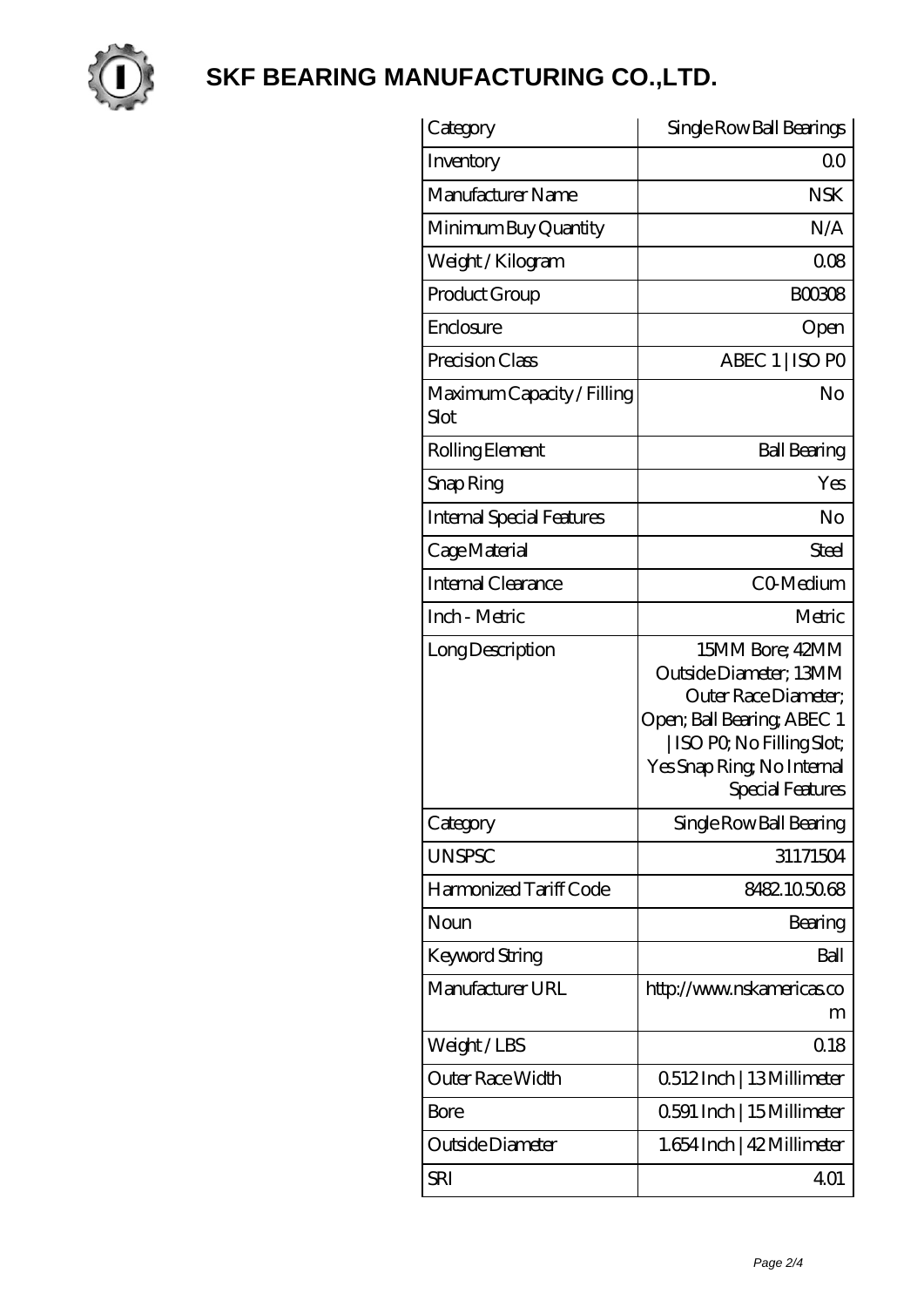

## **[SKF BEARING MANUFACTURING CO.,LTD.](https://mssoaandbpconference.com)**

| Category                           | Single Row Ball Bearings                                                                                                                                                               |
|------------------------------------|----------------------------------------------------------------------------------------------------------------------------------------------------------------------------------------|
| Inventory                          | 0 <sup>0</sup>                                                                                                                                                                         |
| Manufacturer Name                  | <b>NSK</b>                                                                                                                                                                             |
| Minimum Buy Quantity               | N/A                                                                                                                                                                                    |
| Weight / Kilogram                  | 008                                                                                                                                                                                    |
| Product Group                      | <b>BOO3O8</b>                                                                                                                                                                          |
| Enclosure                          | Open                                                                                                                                                                                   |
| Precision Class                    | ABEC 1   ISO PO                                                                                                                                                                        |
| Maximum Capacity / Filling<br>Slot | No                                                                                                                                                                                     |
| Rolling Element                    | <b>Ball Bearing</b>                                                                                                                                                                    |
| Snap Ring                          | Yes                                                                                                                                                                                    |
| Internal Special Features          | No                                                                                                                                                                                     |
| Cage Material                      | Steel                                                                                                                                                                                  |
| Internal Clearance                 | CO-Medium                                                                                                                                                                              |
| Inch - Metric                      | Metric                                                                                                                                                                                 |
| Long Description                   | 15MM Bore; 42MM<br>Outside Diameter; 13MM<br>Outer Race Diameter;<br>Open; Ball Bearing; ABEC 1<br>  ISO PO, No Filling Slot;<br>Yes Snap Ring, No Internal<br><b>Special Features</b> |
| Category                           | Single Row Ball Bearing                                                                                                                                                                |
| <b>UNSPSC</b>                      | 31171504                                                                                                                                                                               |
| Harmonized Tariff Code             | 8482105068                                                                                                                                                                             |
| Noun                               | Bearing                                                                                                                                                                                |
| Keyword String                     | Ball                                                                                                                                                                                   |
| Manufacturer URL                   | http://www.nskamericas.co<br>m                                                                                                                                                         |
| Weight/LBS                         | 0.18                                                                                                                                                                                   |
| Outer Race Width                   | 0512Inch   13Millimeter                                                                                                                                                                |
| Bore                               | 0.591 Inch   15 Millimeter                                                                                                                                                             |
| Outside Diameter                   | 1.654 Inch   42 Millimeter                                                                                                                                                             |
| SRI                                | 401                                                                                                                                                                                    |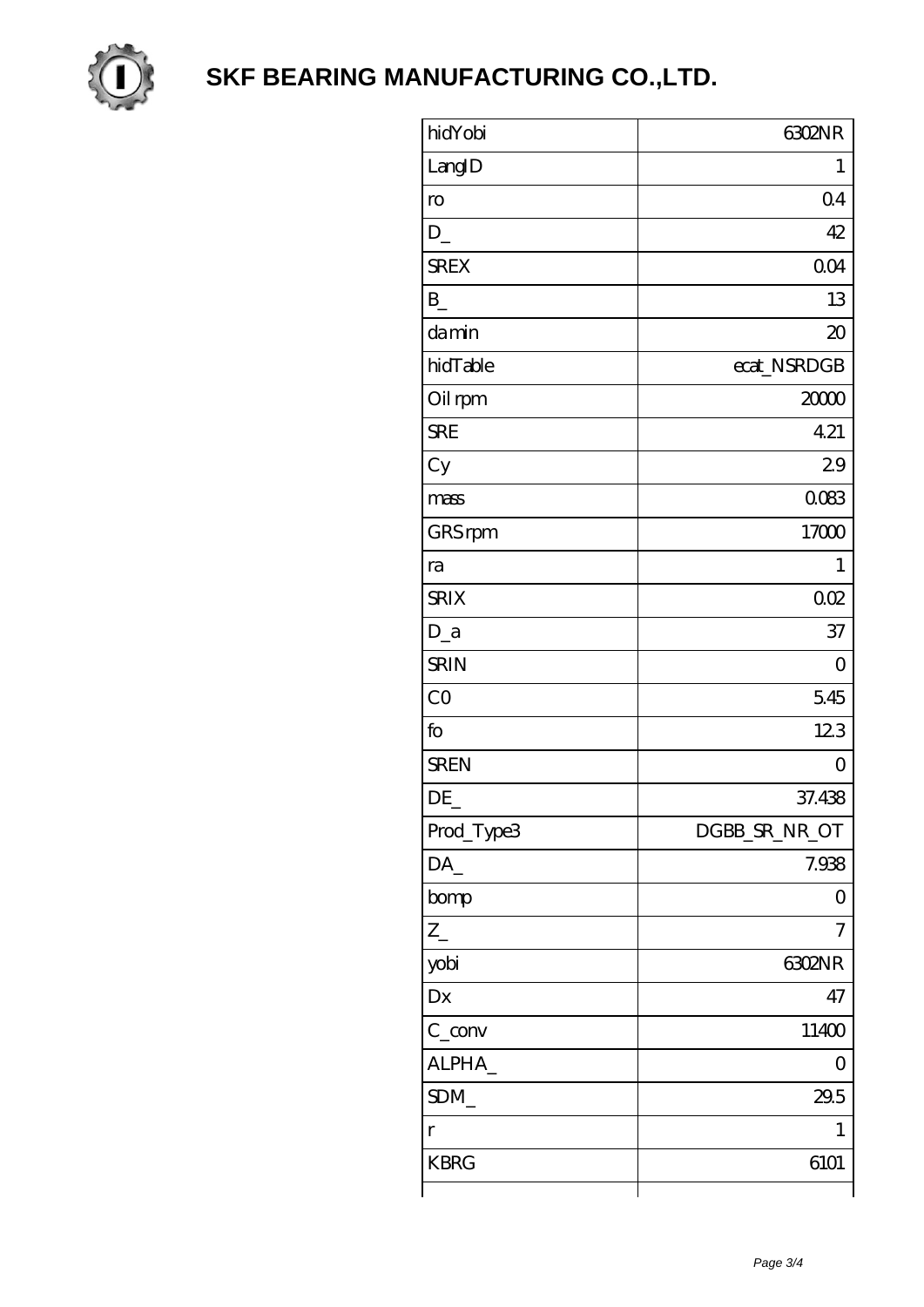

**SKF BEARING MANUFACTURING CO., LTD.** 

| hidYobi           | <b>G302NR</b>    |
|-------------------|------------------|
| LangID            | $\mathbf 1$      |
| ro                | 04               |
| D                 | 42               |
| <b>SREX</b>       | 0 <sub>O</sub> 4 |
| $B_{-}$           | 13               |
| damin             | $\infty$         |
| hidTable          | ecat_NSRDGB      |
| Oil rpm           | 2000             |
| <b>SRE</b>        | 4.21             |
| Cy                | 29               |
| mass              | 0083             |
| GRS rpm           | 17000            |
| ra                | 1                |
| <b>SRIX</b>       | 002              |
| $D_a$             | 37               |
| <b>SRIN</b>       | $\overline{O}$   |
| C <sub>O</sub>    | 5.45             |
| fo                | 123              |
| <b>SREN</b>       | $\overline{O}$   |
| DE                | 37.438           |
| Prod_Type3        | DGBB_SR_NR_OT    |
| $DA$ <sub>_</sub> | 7.938            |
| bomp              | 0                |
| $Z_{-}$           | 7                |
| yobi              | <b>G302NR</b>    |
| Dx                | 47               |
| $C_{\text{conv}}$ | 11400            |
| ALPHA_            | Ο                |
| SDM               | 29.5             |
| $\Gamma$          | 1                |
| <b>KBRG</b>       | 6101             |
|                   |                  |